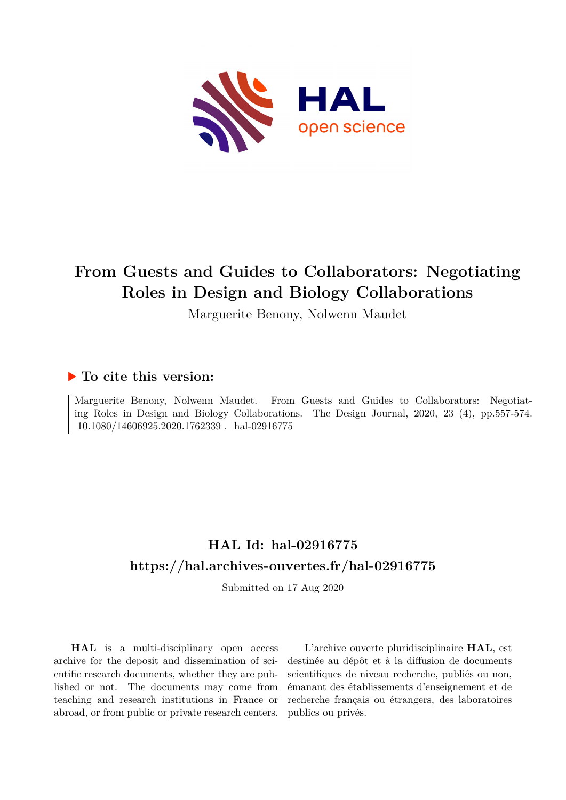

## **From Guests and Guides to Collaborators: Negotiating Roles in Design and Biology Collaborations**

Marguerite Benony, Nolwenn Maudet

### **To cite this version:**

Marguerite Benony, Nolwenn Maudet. From Guests and Guides to Collaborators: Negotiating Roles in Design and Biology Collaborations. The Design Journal, 2020, 23 (4), pp.557-574.  $10.1080/14606925.2020.1762339$ . hal-02916775

## **HAL Id: hal-02916775 <https://hal.archives-ouvertes.fr/hal-02916775>**

Submitted on 17 Aug 2020

**HAL** is a multi-disciplinary open access archive for the deposit and dissemination of scientific research documents, whether they are published or not. The documents may come from teaching and research institutions in France or abroad, or from public or private research centers.

L'archive ouverte pluridisciplinaire **HAL**, est destinée au dépôt et à la diffusion de documents scientifiques de niveau recherche, publiés ou non, émanant des établissements d'enseignement et de recherche français ou étrangers, des laboratoires publics ou privés.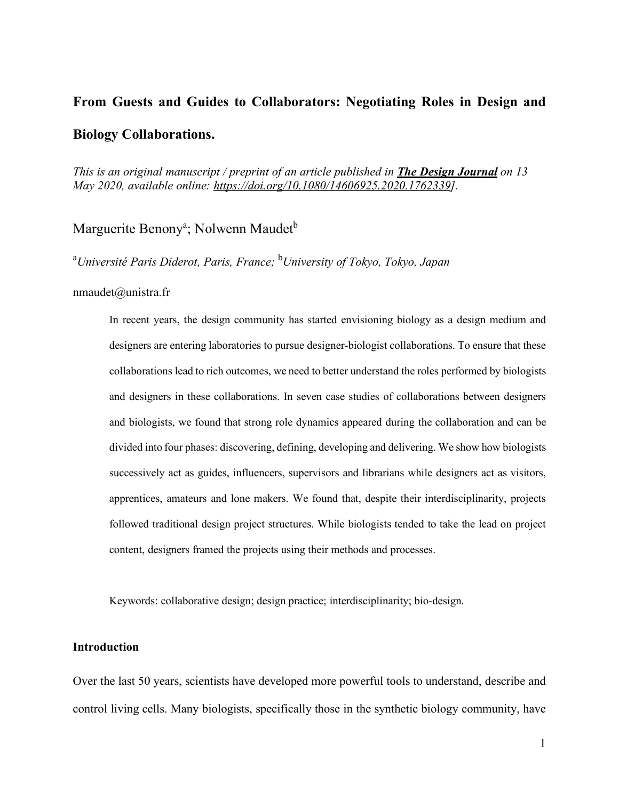# **From Guests and Guides to Collaborators: Negotiating Roles in Design and Biology Collaborations.**

*This is an original manuscript / preprint of an article published in The Design Journal on 13 May 2020, available online: https://doi.org/10.1080/14606925.2020.1762339].*

Marguerite Benony<sup>a</sup>; Nolwenn Maudet<sup>b</sup>

a *Université Paris Diderot, Paris, France;* <sup>b</sup> *University of Tokyo, Tokyo, Japan*

#### nmaudet@unistra.fr

In recent years, the design community has started envisioning biology as a design medium and designers are entering laboratories to pursue designer-biologist collaborations. To ensure that these collaborations lead to rich outcomes, we need to better understand the roles performed by biologists and designers in these collaborations. In seven case studies of collaborations between designers and biologists, we found that strong role dynamics appeared during the collaboration and can be divided into four phases: discovering, defining, developing and delivering. We show how biologists successively act as guides, influencers, supervisors and librarians while designers act as visitors, apprentices, amateurs and lone makers. We found that, despite their interdisciplinarity, projects followed traditional design project structures. While biologists tended to take the lead on project content, designers framed the projects using their methods and processes.

Keywords: collaborative design; design practice; interdisciplinarity; bio-design.

#### **Introduction**

Over the last 50 years, scientists have developed more powerful tools to understand, describe and control living cells. Many biologists, specifically those in the synthetic biology community, have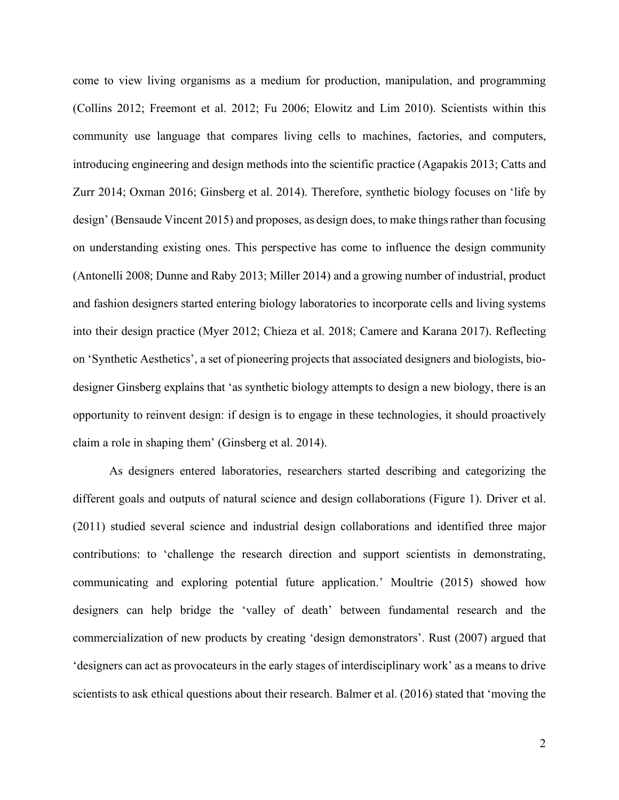come to view living organisms as a medium for production, manipulation, and programming (Collins 2012; Freemont et al. 2012; Fu 2006; Elowitz and Lim 2010). Scientists within this community use language that compares living cells to machines, factories, and computers, introducing engineering and design methods into the scientific practice (Agapakis 2013; Catts and Zurr 2014; Oxman 2016; Ginsberg et al. 2014). Therefore, synthetic biology focuses on 'life by design' (Bensaude Vincent 2015) and proposes, as design does, to make things rather than focusing on understanding existing ones. This perspective has come to influence the design community (Antonelli 2008; Dunne and Raby 2013; Miller 2014) and a growing number of industrial, product and fashion designers started entering biology laboratories to incorporate cells and living systems into their design practice (Myer 2012; Chieza et al. 2018; Camere and Karana 2017). Reflecting on 'Synthetic Aesthetics', a set of pioneering projects that associated designers and biologists, biodesigner Ginsberg explains that 'as synthetic biology attempts to design a new biology, there is an opportunity to reinvent design: if design is to engage in these technologies, it should proactively claim a role in shaping them' (Ginsberg et al. 2014).

As designers entered laboratories, researchers started describing and categorizing the different goals and outputs of natural science and design collaborations (Figure 1). Driver et al. (2011) studied several science and industrial design collaborations and identified three major contributions: to 'challenge the research direction and support scientists in demonstrating, communicating and exploring potential future application.' Moultrie (2015) showed how designers can help bridge the 'valley of death' between fundamental research and the commercialization of new products by creating 'design demonstrators'. Rust (2007) argued that 'designers can act as provocateurs in the early stages of interdisciplinary work' as a means to drive scientists to ask ethical questions about their research. Balmer et al. (2016) stated that 'moving the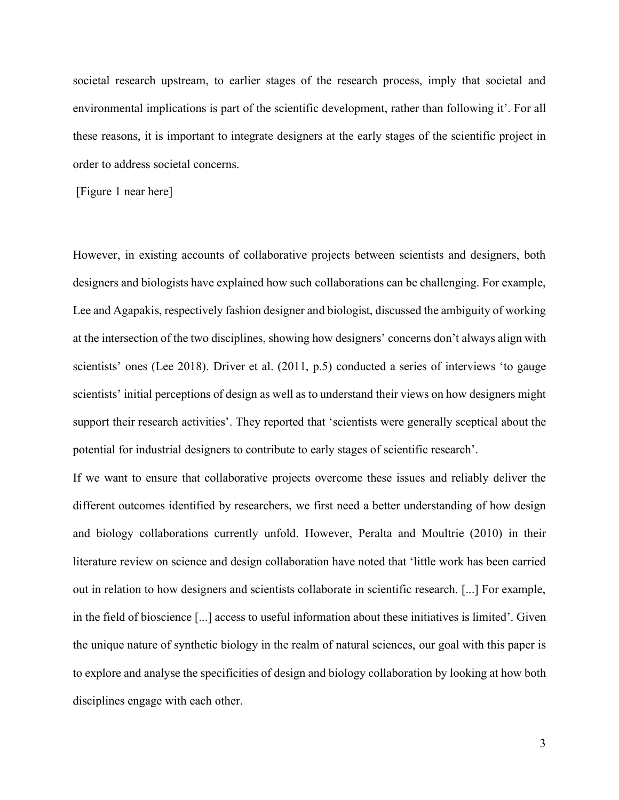societal research upstream, to earlier stages of the research process, imply that societal and environmental implications is part of the scientific development, rather than following it'. For all these reasons, it is important to integrate designers at the early stages of the scientific project in order to address societal concerns.

[Figure 1 near here]

However, in existing accounts of collaborative projects between scientists and designers, both designers and biologists have explained how such collaborations can be challenging. For example, Lee and Agapakis, respectively fashion designer and biologist, discussed the ambiguity of working at the intersection of the two disciplines, showing how designers' concerns don't always align with scientists' ones (Lee 2018). Driver et al. (2011, p.5) conducted a series of interviews 'to gauge scientists' initial perceptions of design as well as to understand their views on how designers might support their research activities'. They reported that 'scientists were generally sceptical about the potential for industrial designers to contribute to early stages of scientific research'.

If we want to ensure that collaborative projects overcome these issues and reliably deliver the different outcomes identified by researchers, we first need a better understanding of how design and biology collaborations currently unfold. However, Peralta and Moultrie (2010) in their literature review on science and design collaboration have noted that 'little work has been carried out in relation to how designers and scientists collaborate in scientific research. [...] For example, in the field of bioscience [...] access to useful information about these initiatives is limited'. Given the unique nature of synthetic biology in the realm of natural sciences, our goal with this paper is to explore and analyse the specificities of design and biology collaboration by looking at how both disciplines engage with each other.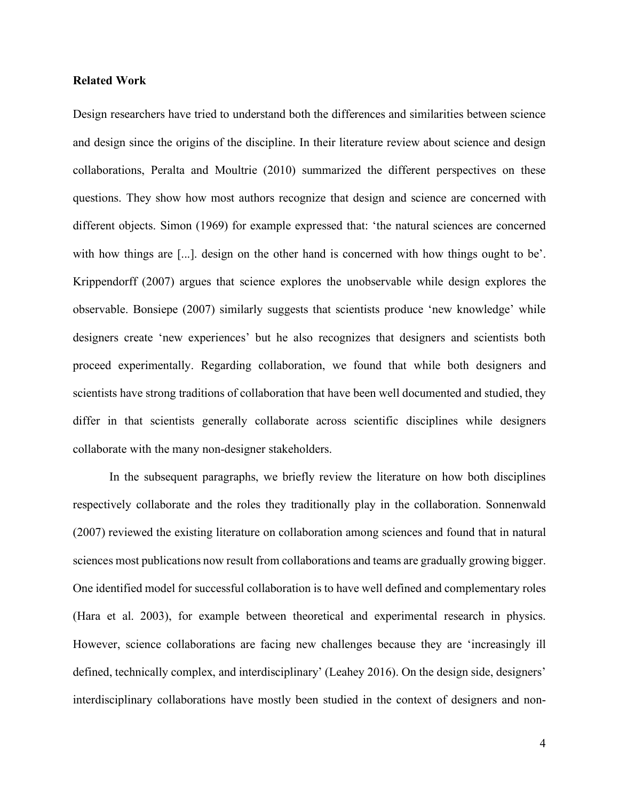#### **Related Work**

Design researchers have tried to understand both the differences and similarities between science and design since the origins of the discipline. In their literature review about science and design collaborations, Peralta and Moultrie (2010) summarized the different perspectives on these questions. They show how most authors recognize that design and science are concerned with different objects. Simon (1969) for example expressed that: 'the natural sciences are concerned with how things are [...]. design on the other hand is concerned with how things ought to be'. Krippendorff (2007) argues that science explores the unobservable while design explores the observable. Bonsiepe (2007) similarly suggests that scientists produce 'new knowledge' while designers create 'new experiences' but he also recognizes that designers and scientists both proceed experimentally. Regarding collaboration, we found that while both designers and scientists have strong traditions of collaboration that have been well documented and studied, they differ in that scientists generally collaborate across scientific disciplines while designers collaborate with the many non-designer stakeholders.

In the subsequent paragraphs, we briefly review the literature on how both disciplines respectively collaborate and the roles they traditionally play in the collaboration. Sonnenwald (2007) reviewed the existing literature on collaboration among sciences and found that in natural sciences most publications now result from collaborations and teams are gradually growing bigger. One identified model for successful collaboration is to have well defined and complementary roles (Hara et al. 2003), for example between theoretical and experimental research in physics. However, science collaborations are facing new challenges because they are 'increasingly ill defined, technically complex, and interdisciplinary' (Leahey 2016). On the design side, designers' interdisciplinary collaborations have mostly been studied in the context of designers and non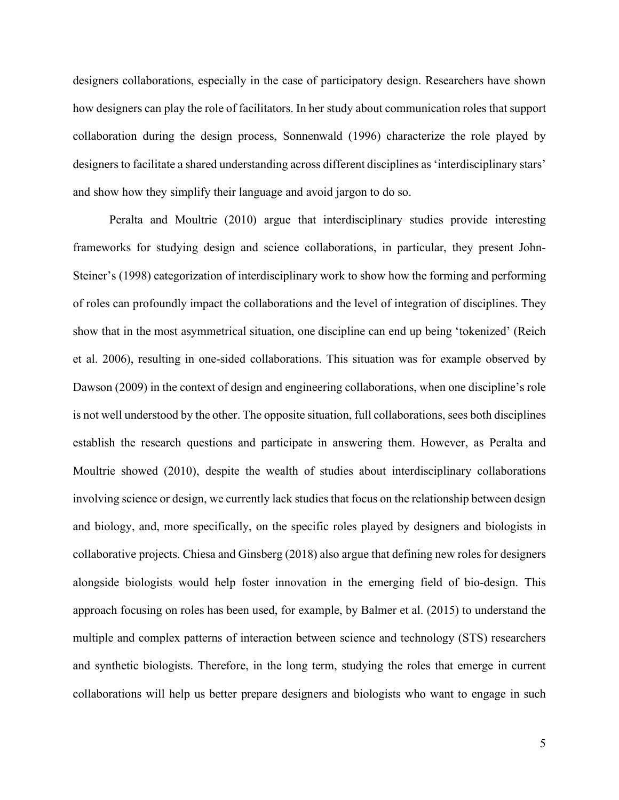designers collaborations, especially in the case of participatory design. Researchers have shown how designers can play the role of facilitators. In her study about communication roles that support collaboration during the design process, Sonnenwald (1996) characterize the role played by designers to facilitate a shared understanding across different disciplines as 'interdisciplinary stars' and show how they simplify their language and avoid jargon to do so.

Peralta and Moultrie (2010) argue that interdisciplinary studies provide interesting frameworks for studying design and science collaborations, in particular, they present John-Steiner's (1998) categorization of interdisciplinary work to show how the forming and performing of roles can profoundly impact the collaborations and the level of integration of disciplines. They show that in the most asymmetrical situation, one discipline can end up being 'tokenized' (Reich et al. 2006), resulting in one-sided collaborations. This situation was for example observed by Dawson (2009) in the context of design and engineering collaborations, when one discipline's role is not well understood by the other. The opposite situation, full collaborations, sees both disciplines establish the research questions and participate in answering them. However, as Peralta and Moultrie showed (2010), despite the wealth of studies about interdisciplinary collaborations involving science or design, we currently lack studies that focus on the relationship between design and biology, and, more specifically, on the specific roles played by designers and biologists in collaborative projects. Chiesa and Ginsberg (2018) also argue that defining new rolesfor designers alongside biologists would help foster innovation in the emerging field of bio-design. This approach focusing on roles has been used, for example, by Balmer et al. (2015) to understand the multiple and complex patterns of interaction between science and technology (STS) researchers and synthetic biologists. Therefore, in the long term, studying the roles that emerge in current collaborations will help us better prepare designers and biologists who want to engage in such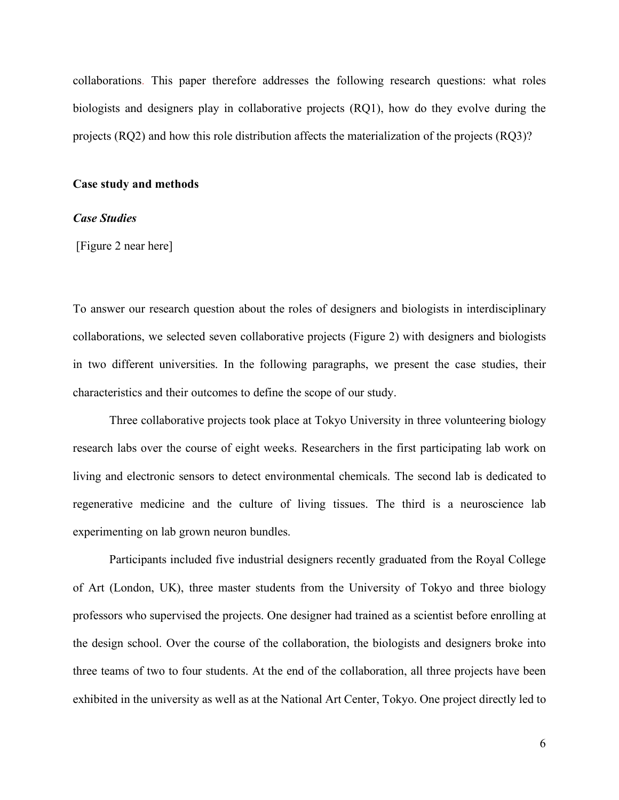collaborations. This paper therefore addresses the following research questions: what roles biologists and designers play in collaborative projects (RQ1), how do they evolve during the projects (RQ2) and how this role distribution affects the materialization of the projects (RQ3)?

#### **Case study and methods**

#### *Case Studies*

[Figure 2 near here]

To answer our research question about the roles of designers and biologists in interdisciplinary collaborations, we selected seven collaborative projects (Figure 2) with designers and biologists in two different universities. In the following paragraphs, we present the case studies, their characteristics and their outcomes to define the scope of our study.

Three collaborative projects took place at Tokyo University in three volunteering biology research labs over the course of eight weeks. Researchers in the first participating lab work on living and electronic sensors to detect environmental chemicals. The second lab is dedicated to regenerative medicine and the culture of living tissues. The third is a neuroscience lab experimenting on lab grown neuron bundles.

Participants included five industrial designers recently graduated from the Royal College of Art (London, UK), three master students from the University of Tokyo and three biology professors who supervised the projects. One designer had trained as a scientist before enrolling at the design school. Over the course of the collaboration, the biologists and designers broke into three teams of two to four students. At the end of the collaboration, all three projects have been exhibited in the university as well as at the National Art Center, Tokyo. One project directly led to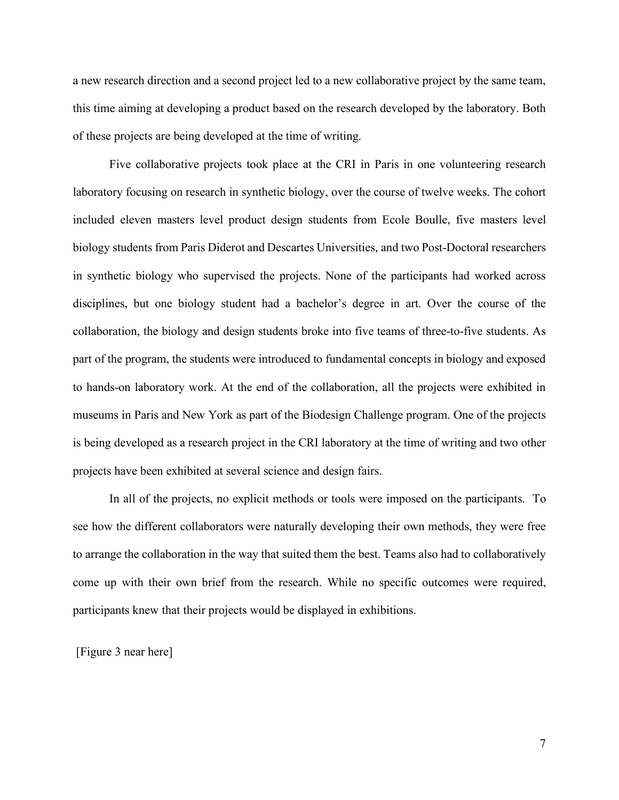a new research direction and a second project led to a new collaborative project by the same team, this time aiming at developing a product based on the research developed by the laboratory. Both of these projects are being developed at the time of writing.

Five collaborative projects took place at the CRI in Paris in one volunteering research laboratory focusing on research in synthetic biology, over the course of twelve weeks. The cohort included eleven masters level product design students from Ecole Boulle, five masters level biology students from Paris Diderot and Descartes Universities, and two Post-Doctoral researchers in synthetic biology who supervised the projects. None of the participants had worked across disciplines, but one biology student had a bachelor's degree in art. Over the course of the collaboration, the biology and design students broke into five teams of three-to-five students. As part of the program, the students were introduced to fundamental concepts in biology and exposed to hands-on laboratory work. At the end of the collaboration, all the projects were exhibited in museums in Paris and New York as part of the Biodesign Challenge program. One of the projects is being developed as a research project in the CRI laboratory at the time of writing and two other projects have been exhibited at several science and design fairs.

In all of the projects, no explicit methods or tools were imposed on the participants. To see how the different collaborators were naturally developing their own methods, they were free to arrange the collaboration in the way that suited them the best. Teams also had to collaboratively come up with their own brief from the research. While no specific outcomes were required, participants knew that their projects would be displayed in exhibitions.

[Figure 3 near here]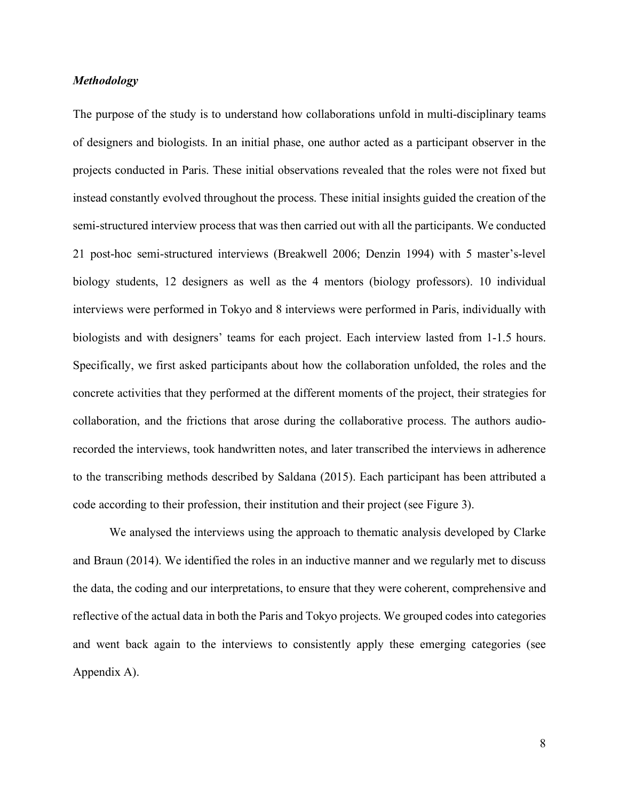#### *Methodology*

The purpose of the study is to understand how collaborations unfold in multi-disciplinary teams of designers and biologists. In an initial phase, one author acted as a participant observer in the projects conducted in Paris. These initial observations revealed that the roles were not fixed but instead constantly evolved throughout the process. These initial insights guided the creation of the semi-structured interview process that was then carried out with all the participants. We conducted 21 post-hoc semi-structured interviews (Breakwell 2006; Denzin 1994) with 5 master's-level biology students, 12 designers as well as the 4 mentors (biology professors). 10 individual interviews were performed in Tokyo and 8 interviews were performed in Paris, individually with biologists and with designers' teams for each project. Each interview lasted from 1-1.5 hours. Specifically, we first asked participants about how the collaboration unfolded, the roles and the concrete activities that they performed at the different moments of the project, their strategies for collaboration, and the frictions that arose during the collaborative process. The authors audiorecorded the interviews, took handwritten notes, and later transcribed the interviews in adherence to the transcribing methods described by Saldana (2015). Each participant has been attributed a code according to their profession, their institution and their project (see Figure 3).

We analysed the interviews using the approach to thematic analysis developed by Clarke and Braun (2014). We identified the roles in an inductive manner and we regularly met to discuss the data, the coding and our interpretations, to ensure that they were coherent, comprehensive and reflective of the actual data in both the Paris and Tokyo projects. We grouped codes into categories and went back again to the interviews to consistently apply these emerging categories (see Appendix A).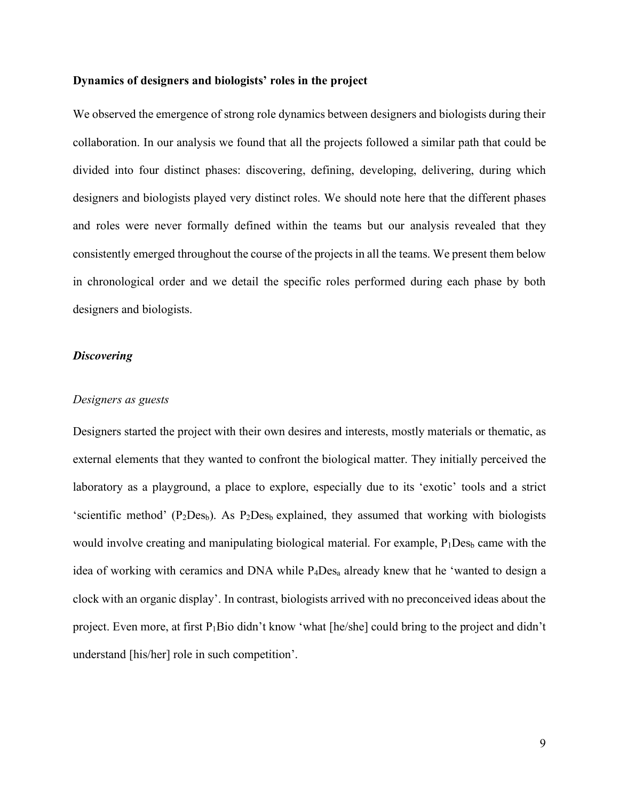#### **Dynamics of designers and biologists' roles in the project**

We observed the emergence of strong role dynamics between designers and biologists during their collaboration. In our analysis we found that all the projects followed a similar path that could be divided into four distinct phases: discovering, defining, developing, delivering, during which designers and biologists played very distinct roles. We should note here that the different phases and roles were never formally defined within the teams but our analysis revealed that they consistently emerged throughout the course of the projects in all the teams. We present them below in chronological order and we detail the specific roles performed during each phase by both designers and biologists.

#### *Discovering*

#### *Designers as guests*

Designers started the project with their own desires and interests, mostly materials or thematic, as external elements that they wanted to confront the biological matter. They initially perceived the laboratory as a playground, a place to explore, especially due to its 'exotic' tools and a strict 'scientific method' ( $P_2$ Des<sub>b</sub>). As  $P_2$ Des<sub>b</sub> explained, they assumed that working with biologists would involve creating and manipulating biological material. For example,  $P_1Des_b$  came with the idea of working with ceramics and DNA while P4Desa already knew that he 'wanted to design a clock with an organic display'. In contrast, biologists arrived with no preconceived ideas about the project. Even more, at first P1Bio didn't know 'what [he/she] could bring to the project and didn't understand [his/her] role in such competition'.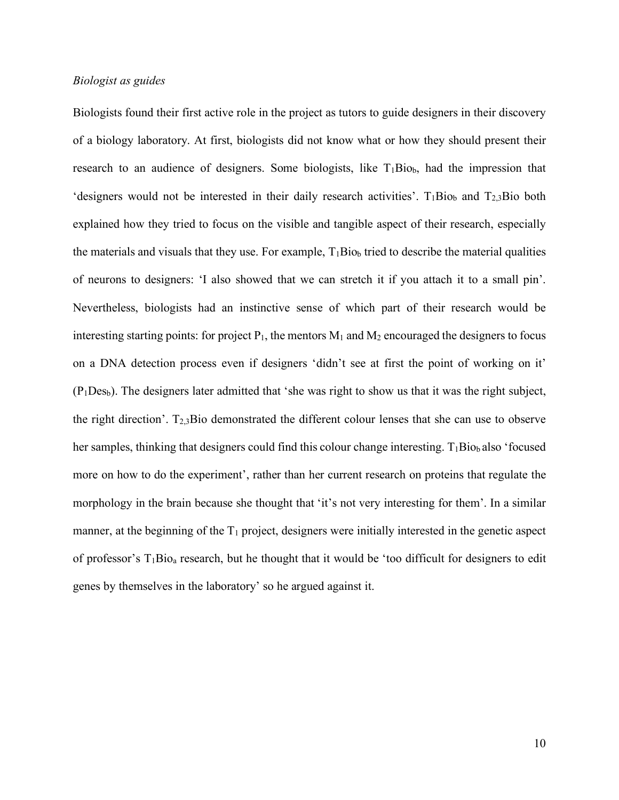#### *Biologist as guides*

Biologists found their first active role in the project as tutors to guide designers in their discovery of a biology laboratory. At first, biologists did not know what or how they should present their research to an audience of designers. Some biologists, like  $T_1Bio_b$ , had the impression that 'designers would not be interested in their daily research activities'.  $T_1Bio<sub>b</sub>$  and  $T_23Bio$  both explained how they tried to focus on the visible and tangible aspect of their research, especially the materials and visuals that they use. For example,  $T_1Bio_b$  tried to describe the material qualities of neurons to designers: 'I also showed that we can stretch it if you attach it to a small pin'. Nevertheless, biologists had an instinctive sense of which part of their research would be interesting starting points: for project  $P_1$ , the mentors  $M_1$  and  $M_2$  encouraged the designers to focus on a DNA detection process even if designers 'didn't see at first the point of working on it'  $(P_1Des_b)$ . The designers later admitted that 'she was right to show us that it was the right subject, the right direction'.  $T_{2,3}$ Bio demonstrated the different colour lenses that she can use to observe her samples, thinking that designers could find this colour change interesting.  $T_1Bio_b$  also 'focused more on how to do the experiment', rather than her current research on proteins that regulate the morphology in the brain because she thought that 'it's not very interesting for them'. In a similar manner, at the beginning of the  $T_1$  project, designers were initially interested in the genetic aspect of professor's T1Bioa research, but he thought that it would be 'too difficult for designers to edit genes by themselves in the laboratory' so he argued against it.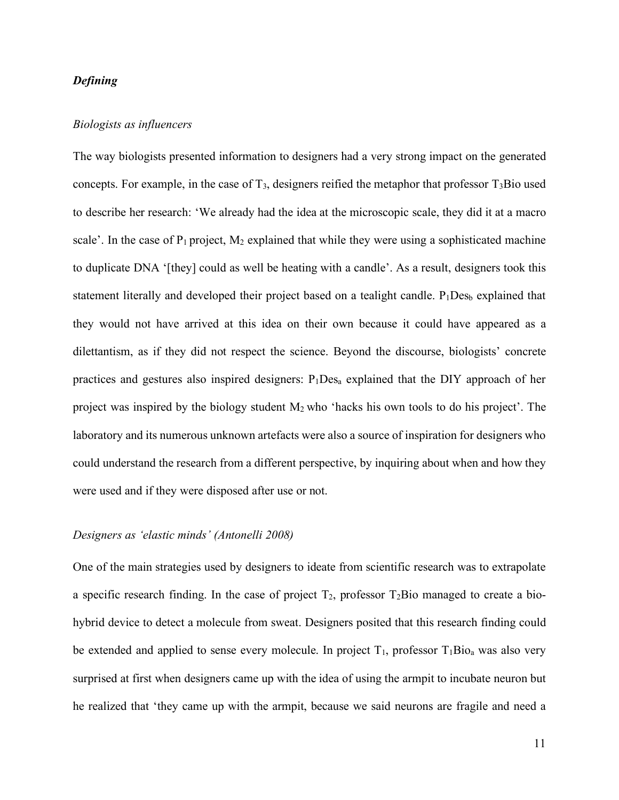#### *Defining*

#### *Biologists as influencers*

The way biologists presented information to designers had a very strong impact on the generated concepts. For example, in the case of  $T_3$ , designers reified the metaphor that professor  $T_3$ Bio used to describe her research: 'We already had the idea at the microscopic scale, they did it at a macro scale'. In the case of  $P_1$  project,  $M_2$  explained that while they were using a sophisticated machine to duplicate DNA '[they] could as well be heating with a candle'. As a result, designers took this statement literally and developed their project based on a tealight candle.  $P_1Des_b$  explained that they would not have arrived at this idea on their own because it could have appeared as a dilettantism, as if they did not respect the science. Beyond the discourse, biologists' concrete practices and gestures also inspired designers:  $P_1Des_a$  explained that the DIY approach of her project was inspired by the biology student  $M_2$  who 'hacks his own tools to do his project'. The laboratory and its numerous unknown artefacts were also a source of inspiration for designers who could understand the research from a different perspective, by inquiring about when and how they were used and if they were disposed after use or not.

#### *Designers as 'elastic minds' (Antonelli 2008)*

One of the main strategies used by designers to ideate from scientific research was to extrapolate a specific research finding. In the case of project  $T_2$ , professor  $T_2$ Bio managed to create a biohybrid device to detect a molecule from sweat. Designers posited that this research finding could be extended and applied to sense every molecule. In project  $T_1$ , professor  $T_1Bio_a$  was also very surprised at first when designers came up with the idea of using the armpit to incubate neuron but he realized that 'they came up with the armpit, because we said neurons are fragile and need a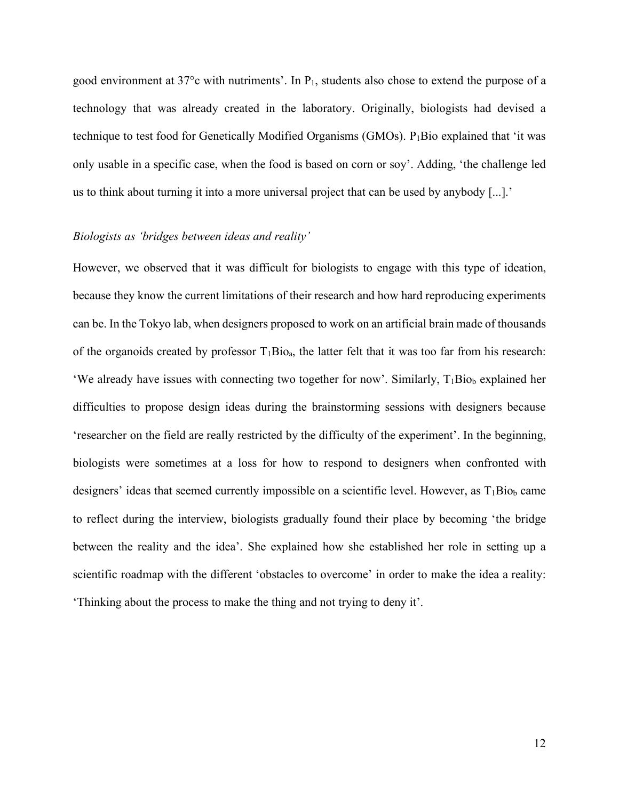good environment at 37°c with nutriments'. In P1, students also chose to extend the purpose of a technology that was already created in the laboratory. Originally, biologists had devised a technique to test food for Genetically Modified Organisms (GMOs). P<sub>1</sub>Bio explained that 'it was only usable in a specific case, when the food is based on corn or soy'. Adding, 'the challenge led us to think about turning it into a more universal project that can be used by anybody [...].'

#### *Biologists as 'bridges between ideas and reality'*

However, we observed that it was difficult for biologists to engage with this type of ideation, because they know the current limitations of their research and how hard reproducing experiments can be. In the Tokyo lab, when designers proposed to work on an artificial brain made of thousands of the organoids created by professor  $T_1Bio_a$ , the latter felt that it was too far from his research: 'We already have issues with connecting two together for now'. Similarly,  $T_1Bio_b$  explained her difficulties to propose design ideas during the brainstorming sessions with designers because 'researcher on the field are really restricted by the difficulty of the experiment'. In the beginning, biologists were sometimes at a loss for how to respond to designers when confronted with designers' ideas that seemed currently impossible on a scientific level. However, as  $T_1Bio_b$  came to reflect during the interview, biologists gradually found their place by becoming 'the bridge between the reality and the idea'. She explained how she established her role in setting up a scientific roadmap with the different 'obstacles to overcome' in order to make the idea a reality: 'Thinking about the process to make the thing and not trying to deny it'.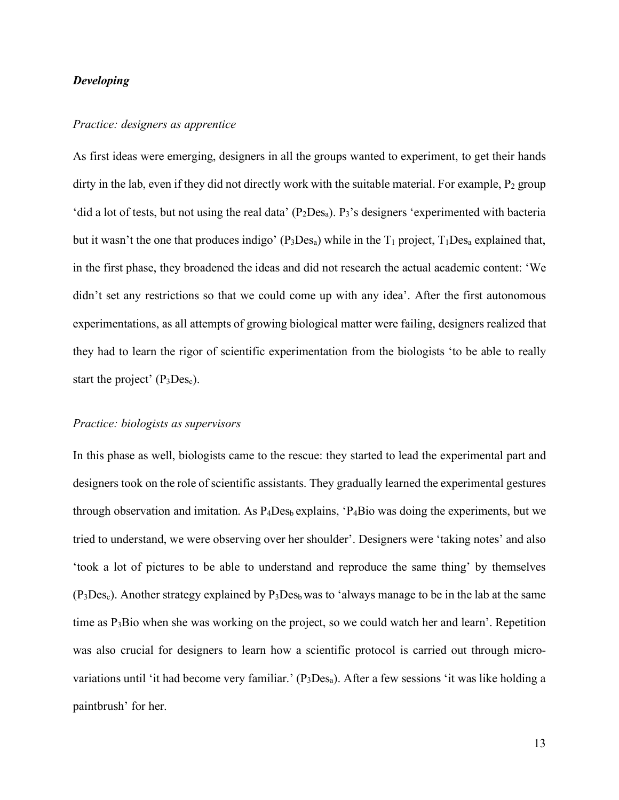#### *Developing*

#### *Practice: designers as apprentice*

As first ideas were emerging, designers in all the groups wanted to experiment, to get their hands dirty in the lab, even if they did not directly work with the suitable material. For example,  $P_2$  group 'did a lot of tests, but not using the real data'  $(P_2Des_a)$ .  $P_3$ 's designers 'experimented with bacteria but it wasn't the one that produces indigo' ( $P_3Des_a$ ) while in the  $T_1$  project,  $T_1Des_a$  explained that, in the first phase, they broadened the ideas and did not research the actual academic content: 'We didn't set any restrictions so that we could come up with any idea'. After the first autonomous experimentations, as all attempts of growing biological matter were failing, designers realized that they had to learn the rigor of scientific experimentation from the biologists 'to be able to really start the project'  $(P_3Des_c)$ .

#### *Practice: biologists as supervisors*

In this phase as well, biologists came to the rescue: they started to lead the experimental part and designers took on the role of scientific assistants. They gradually learned the experimental gestures through observation and imitation. As  $P_4Des_b$  explains, ' $P_4B$ io was doing the experiments, but we tried to understand, we were observing over her shoulder'. Designers were 'taking notes' and also 'took a lot of pictures to be able to understand and reproduce the same thing' by themselves  $(P_3Des_c)$ . Another strategy explained by  $P_3Des_b$  was to 'always manage to be in the lab at the same time as P3Bio when she was working on the project, so we could watch her and learn'. Repetition was also crucial for designers to learn how a scientific protocol is carried out through microvariations until 'it had become very familiar.' (P<sub>3</sub>Des<sub>a</sub>). After a few sessions 'it was like holding a paintbrush' for her.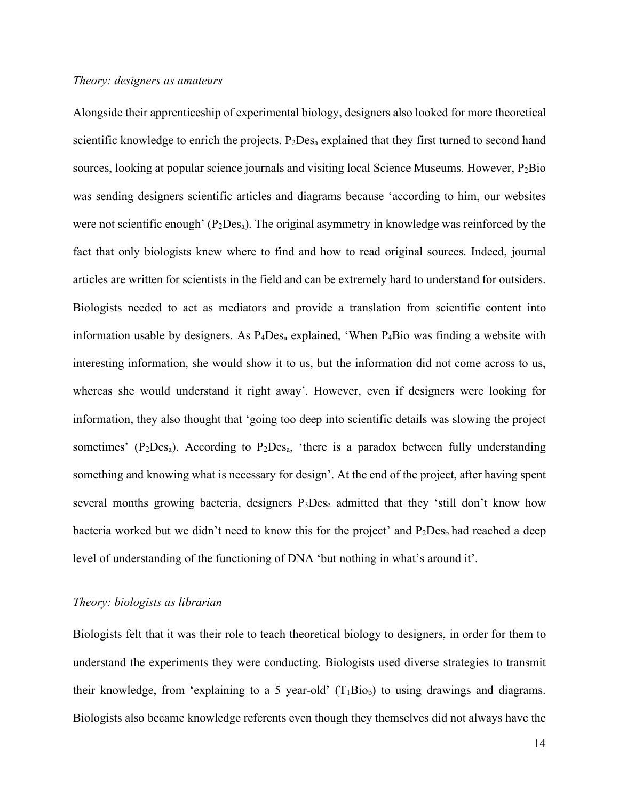#### *Theory: designers as amateurs*

Alongside their apprenticeship of experimental biology, designers also looked for more theoretical scientific knowledge to enrich the projects. P<sub>2</sub>Des<sub>a</sub> explained that they first turned to second hand sources, looking at popular science journals and visiting local Science Museums. However, P<sub>2</sub>Bio was sending designers scientific articles and diagrams because 'according to him, our websites were not scientific enough' ( $P_2$ Des<sub>a</sub>). The original asymmetry in knowledge was reinforced by the fact that only biologists knew where to find and how to read original sources. Indeed, journal articles are written for scientists in the field and can be extremely hard to understand for outsiders. Biologists needed to act as mediators and provide a translation from scientific content into information usable by designers. As  $P_4Des_a$  explained, 'When  $P_4B$ io was finding a website with interesting information, she would show it to us, but the information did not come across to us, whereas she would understand it right away'. However, even if designers were looking for information, they also thought that 'going too deep into scientific details was slowing the project sometimes' ( $P_2Des_a$ ). According to  $P_2Des_a$ , 'there is a paradox between fully understanding something and knowing what is necessary for design'. At the end of the project, after having spent several months growing bacteria, designers P<sub>3</sub>Des<sub>c</sub> admitted that they 'still don't know how bacteria worked but we didn't need to know this for the project' and  $P_2Des_b$  had reached a deep level of understanding of the functioning of DNA 'but nothing in what's around it'.

#### *Theory: biologists as librarian*

Biologists felt that it was their role to teach theoretical biology to designers, in order for them to understand the experiments they were conducting. Biologists used diverse strategies to transmit their knowledge, from 'explaining to a 5 year-old'  $(T_1Bio_b)$  to using drawings and diagrams. Biologists also became knowledge referents even though they themselves did not always have the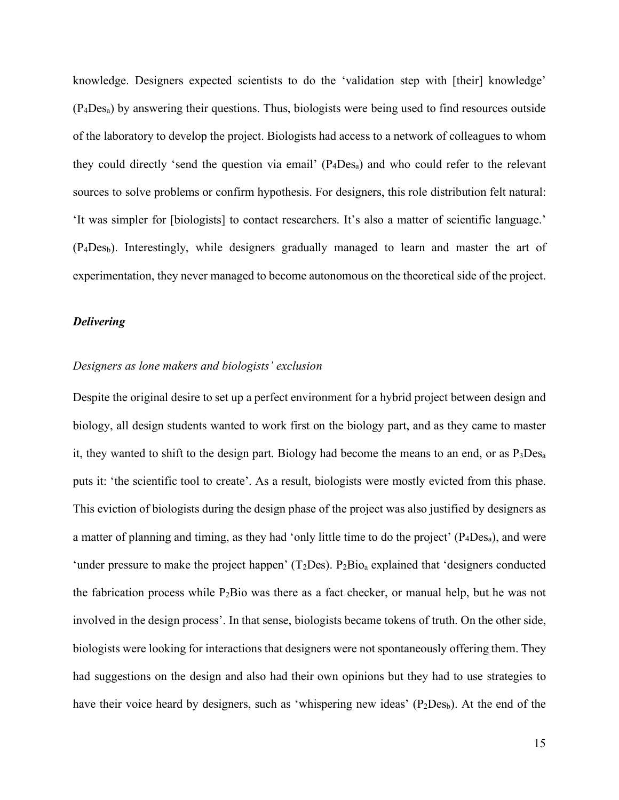knowledge. Designers expected scientists to do the 'validation step with [their] knowledge' (P4Desa) by answering their questions. Thus, biologists were being used to find resources outside of the laboratory to develop the project. Biologists had access to a network of colleagues to whom they could directly 'send the question via email'  $(P_4Dea_a)$  and who could refer to the relevant sources to solve problems or confirm hypothesis. For designers, this role distribution felt natural: 'It was simpler for [biologists] to contact researchers. It's also a matter of scientific language.' (P4Desb). Interestingly, while designers gradually managed to learn and master the art of experimentation, they never managed to become autonomous on the theoretical side of the project.

#### *Delivering*

#### *Designers as lone makers and biologists' exclusion*

Despite the original desire to set up a perfect environment for a hybrid project between design and biology, all design students wanted to work first on the biology part, and as they came to master it, they wanted to shift to the design part. Biology had become the means to an end, or as  $P_3Des_a$ puts it: 'the scientific tool to create'. As a result, biologists were mostly evicted from this phase. This eviction of biologists during the design phase of the project was also justified by designers as a matter of planning and timing, as they had 'only little time to do the project' (P4Desa), and were 'under pressure to make the project happen'  $(T_2Des)$ .  $P_2Bio_a$  explained that 'designers conducted the fabrication process while  $P_2$ Bio was there as a fact checker, or manual help, but he was not involved in the design process'. In that sense, biologists became tokens of truth. On the other side, biologists were looking for interactions that designers were not spontaneously offering them. They had suggestions on the design and also had their own opinions but they had to use strategies to have their voice heard by designers, such as 'whispering new ideas'  $(P_2DeS_b)$ . At the end of the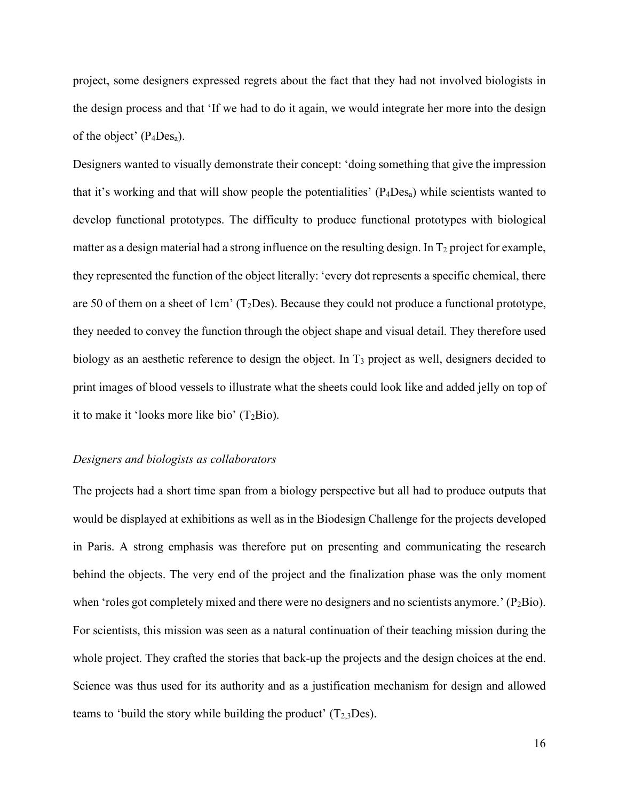project, some designers expressed regrets about the fact that they had not involved biologists in the design process and that 'If we had to do it again, we would integrate her more into the design of the object'  $(P_4DeS_a)$ .

Designers wanted to visually demonstrate their concept: 'doing something that give the impression that it's working and that will show people the potentialities'  $(P_4Des_a)$  while scientists wanted to develop functional prototypes. The difficulty to produce functional prototypes with biological matter as a design material had a strong influence on the resulting design. In  $T_2$  project for example, they represented the function of the object literally: 'every dot represents a specific chemical, there are 50 of them on a sheet of 1cm'  $(T_2$ Des). Because they could not produce a functional prototype, they needed to convey the function through the object shape and visual detail. They therefore used biology as an aesthetic reference to design the object. In T<sub>3</sub> project as well, designers decided to print images of blood vessels to illustrate what the sheets could look like and added jelly on top of it to make it 'looks more like bio'  $(T_2Bio)$ .

#### *Designers and biologists as collaborators*

The projects had a short time span from a biology perspective but all had to produce outputs that would be displayed at exhibitions as well as in the Biodesign Challenge for the projects developed in Paris. A strong emphasis was therefore put on presenting and communicating the research behind the objects. The very end of the project and the finalization phase was the only moment when 'roles got completely mixed and there were no designers and no scientists anymore.'  $(P_2Bio)$ . For scientists, this mission was seen as a natural continuation of their teaching mission during the whole project. They crafted the stories that back-up the projects and the design choices at the end. Science was thus used for its authority and as a justification mechanism for design and allowed teams to 'build the story while building the product'  $(T_{2,3}Des)$ .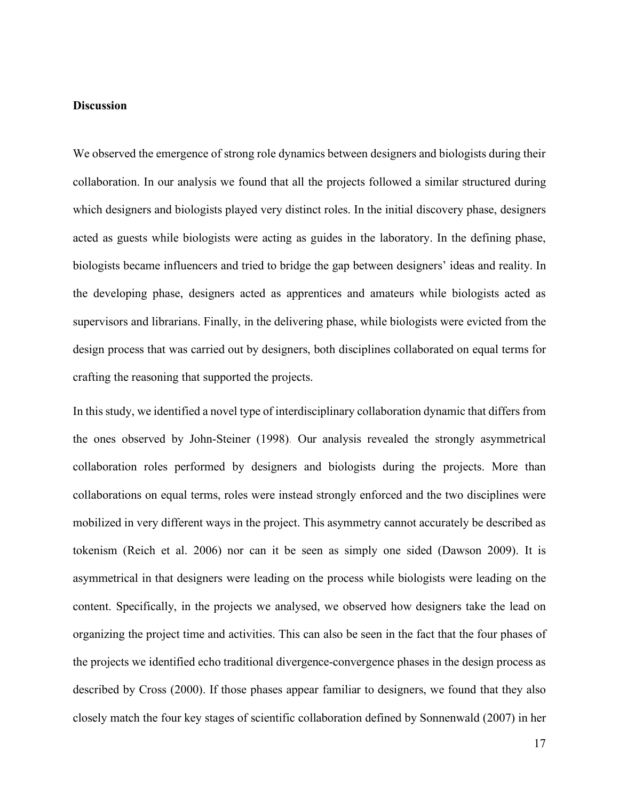#### **Discussion**

We observed the emergence of strong role dynamics between designers and biologists during their collaboration. In our analysis we found that all the projects followed a similar structured during which designers and biologists played very distinct roles. In the initial discovery phase, designers acted as guests while biologists were acting as guides in the laboratory. In the defining phase, biologists became influencers and tried to bridge the gap between designers' ideas and reality. In the developing phase, designers acted as apprentices and amateurs while biologists acted as supervisors and librarians. Finally, in the delivering phase, while biologists were evicted from the design process that was carried out by designers, both disciplines collaborated on equal terms for crafting the reasoning that supported the projects.

In this study, we identified a novel type of interdisciplinary collaboration dynamic that differs from the ones observed by John-Steiner (1998). Our analysis revealed the strongly asymmetrical collaboration roles performed by designers and biologists during the projects. More than collaborations on equal terms, roles were instead strongly enforced and the two disciplines were mobilized in very different ways in the project. This asymmetry cannot accurately be described as tokenism (Reich et al. 2006) nor can it be seen as simply one sided (Dawson 2009). It is asymmetrical in that designers were leading on the process while biologists were leading on the content. Specifically, in the projects we analysed, we observed how designers take the lead on organizing the project time and activities. This can also be seen in the fact that the four phases of the projects we identified echo traditional divergence-convergence phases in the design process as described by Cross (2000). If those phases appear familiar to designers, we found that they also closely match the four key stages of scientific collaboration defined by Sonnenwald (2007) in her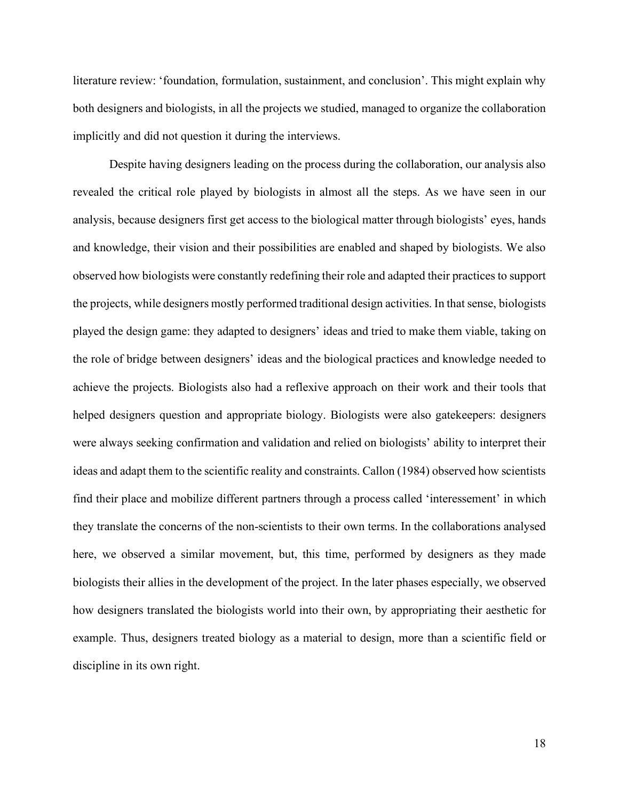literature review: 'foundation, formulation, sustainment, and conclusion'. This might explain why both designers and biologists, in all the projects we studied, managed to organize the collaboration implicitly and did not question it during the interviews.

Despite having designers leading on the process during the collaboration, our analysis also revealed the critical role played by biologists in almost all the steps. As we have seen in our analysis, because designers first get access to the biological matter through biologists' eyes, hands and knowledge, their vision and their possibilities are enabled and shaped by biologists. We also observed how biologists were constantly redefining their role and adapted their practices to support the projects, while designers mostly performed traditional design activities. In that sense, biologists played the design game: they adapted to designers' ideas and tried to make them viable, taking on the role of bridge between designers' ideas and the biological practices and knowledge needed to achieve the projects. Biologists also had a reflexive approach on their work and their tools that helped designers question and appropriate biology. Biologists were also gatekeepers: designers were always seeking confirmation and validation and relied on biologists' ability to interpret their ideas and adapt them to the scientific reality and constraints. Callon (1984) observed how scientists find their place and mobilize different partners through a process called 'interessement' in which they translate the concerns of the non-scientists to their own terms. In the collaborations analysed here, we observed a similar movement, but, this time, performed by designers as they made biologists their allies in the development of the project. In the later phases especially, we observed how designers translated the biologists world into their own, by appropriating their aesthetic for example. Thus, designers treated biology as a material to design, more than a scientific field or discipline in its own right.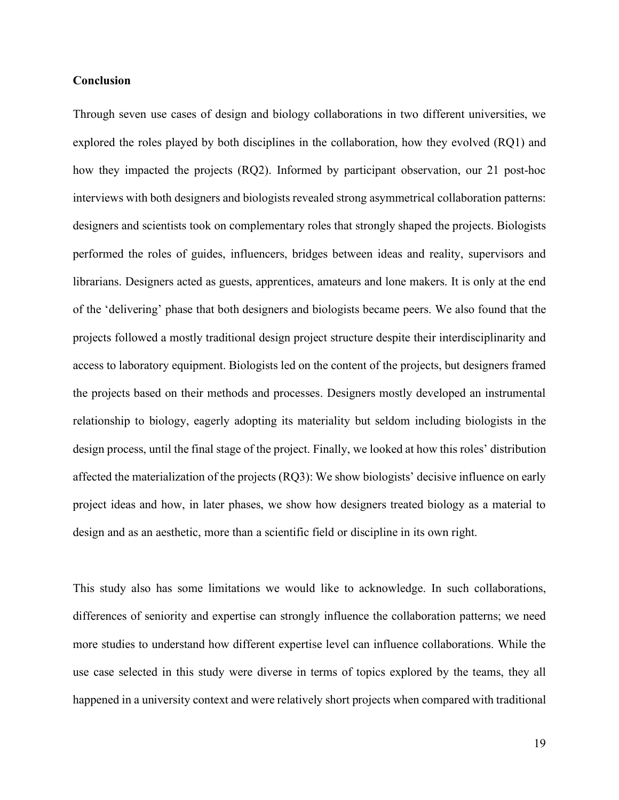#### **Conclusion**

Through seven use cases of design and biology collaborations in two different universities, we explored the roles played by both disciplines in the collaboration, how they evolved (RQ1) and how they impacted the projects (RQ2). Informed by participant observation, our 21 post-hoc interviews with both designers and biologists revealed strong asymmetrical collaboration patterns: designers and scientists took on complementary roles that strongly shaped the projects. Biologists performed the roles of guides, influencers, bridges between ideas and reality, supervisors and librarians. Designers acted as guests, apprentices, amateurs and lone makers. It is only at the end of the 'delivering' phase that both designers and biologists became peers. We also found that the projects followed a mostly traditional design project structure despite their interdisciplinarity and access to laboratory equipment. Biologists led on the content of the projects, but designers framed the projects based on their methods and processes. Designers mostly developed an instrumental relationship to biology, eagerly adopting its materiality but seldom including biologists in the design process, until the final stage of the project. Finally, we looked at how this roles' distribution affected the materialization of the projects (RQ3): We show biologists' decisive influence on early project ideas and how, in later phases, we show how designers treated biology as a material to design and as an aesthetic, more than a scientific field or discipline in its own right.

This study also has some limitations we would like to acknowledge. In such collaborations, differences of seniority and expertise can strongly influence the collaboration patterns; we need more studies to understand how different expertise level can influence collaborations. While the use case selected in this study were diverse in terms of topics explored by the teams, they all happened in a university context and were relatively short projects when compared with traditional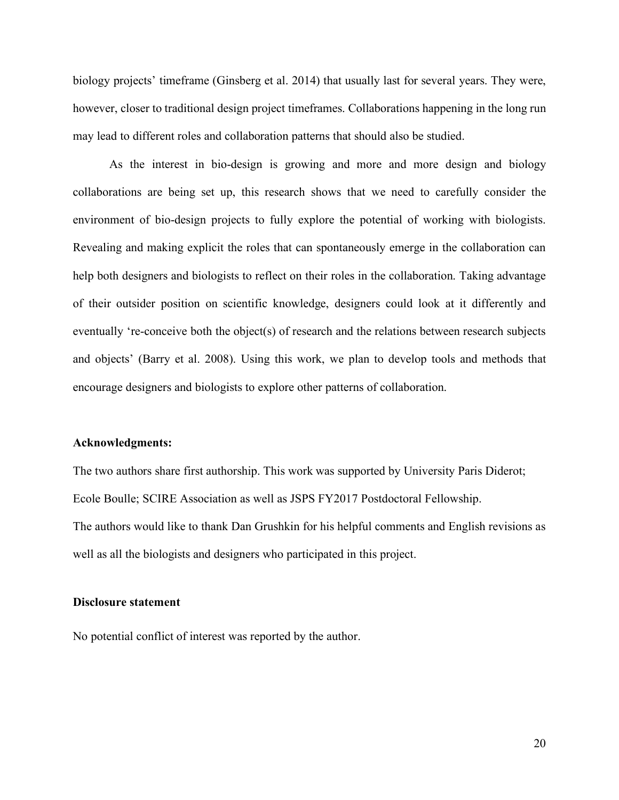biology projects' timeframe (Ginsberg et al. 2014) that usually last for several years. They were, however, closer to traditional design project timeframes. Collaborations happening in the long run may lead to different roles and collaboration patterns that should also be studied.

As the interest in bio-design is growing and more and more design and biology collaborations are being set up, this research shows that we need to carefully consider the environment of bio-design projects to fully explore the potential of working with biologists. Revealing and making explicit the roles that can spontaneously emerge in the collaboration can help both designers and biologists to reflect on their roles in the collaboration. Taking advantage of their outsider position on scientific knowledge, designers could look at it differently and eventually 're-conceive both the object(s) of research and the relations between research subjects and objects' (Barry et al. 2008). Using this work, we plan to develop tools and methods that encourage designers and biologists to explore other patterns of collaboration.

#### **Acknowledgments:**

The two authors share first authorship. This work was supported by University Paris Diderot; Ecole Boulle; SCIRE Association as well as JSPS FY2017 Postdoctoral Fellowship. The authors would like to thank Dan Grushkin for his helpful comments and English revisions as well as all the biologists and designers who participated in this project.

#### **Disclosure statement**

No potential conflict of interest was reported by the author.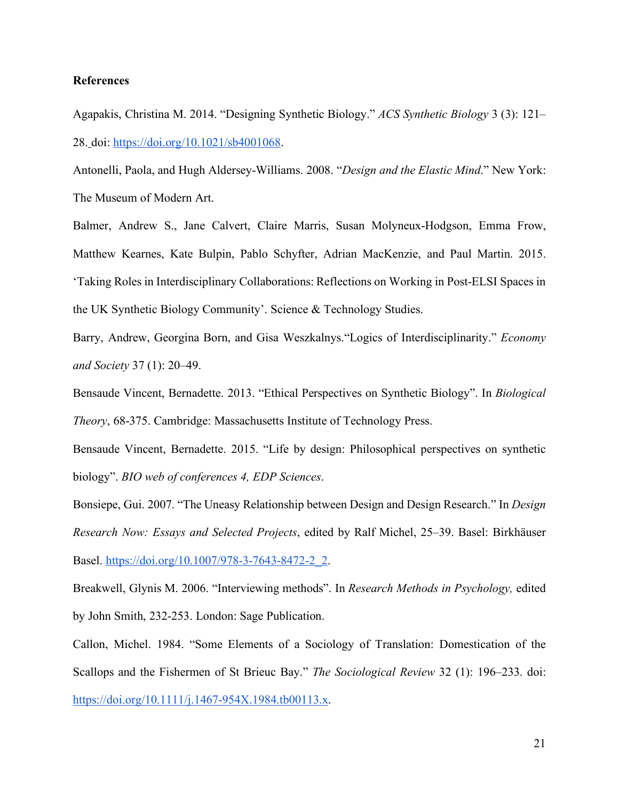#### **References**

Agapakis, Christina M. 2014. "Designing Synthetic Biology." *ACS Synthetic Biology* 3 (3): 121– 28. doi: https://doi.org/10.1021/sb4001068.

Antonelli, Paola, and Hugh Aldersey-Williams. 2008. "*Design and the Elastic Mind*." New York: The Museum of Modern Art.

Balmer, Andrew S., Jane Calvert, Claire Marris, Susan Molyneux-Hodgson, Emma Frow, Matthew Kearnes, Kate Bulpin, Pablo Schyfter, Adrian MacKenzie, and Paul Martin. 2015. 'Taking Roles in Interdisciplinary Collaborations: Reflections on Working in Post-ELSI Spaces in the UK Synthetic Biology Community'. Science & Technology Studies.

Barry, Andrew, Georgina Born, and Gisa Weszkalnys."Logics of Interdisciplinarity." *Economy and Society* 37 (1): 20–49.

Bensaude Vincent, Bernadette. 2013. "Ethical Perspectives on Synthetic Biology". In *Biological Theory*, 68-375. Cambridge: Massachusetts Institute of Technology Press.

Bensaude Vincent, Bernadette. 2015. "Life by design: Philosophical perspectives on synthetic biology". *BIO web of conferences 4, EDP Sciences*.

Bonsiepe, Gui. 2007. "The Uneasy Relationship between Design and Design Research." In *Design Research Now: Essays and Selected Projects*, edited by Ralf Michel, 25–39. Basel: Birkhäuser Basel. https://doi.org/10.1007/978-3-7643-8472-2\_2.

Breakwell, Glynis M. 2006. "Interviewing methods". In *Research Methods in Psychology,* edited by John Smith, 232-253. London: Sage Publication.

Callon, Michel. 1984. "Some Elements of a Sociology of Translation: Domestication of the Scallops and the Fishermen of St Brieuc Bay." *The Sociological Review* 32 (1): 196–233. doi: https://doi.org/10.1111/j.1467-954X.1984.tb00113.x.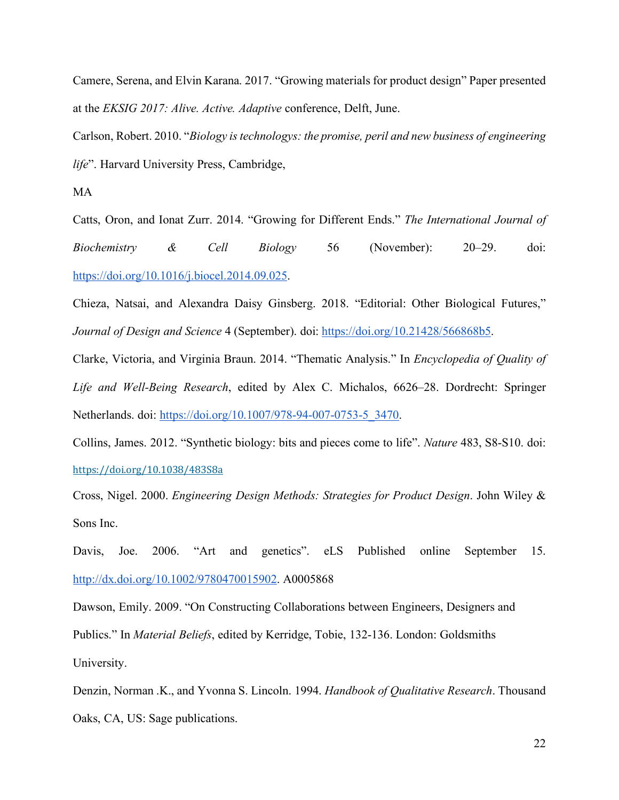Camere, Serena, and Elvin Karana. 2017. "Growing materials for product design" Paper presented at the *EKSIG 2017: Alive. Active. Adaptive* conference, Delft, June.

Carlson, Robert. 2010. "*Biology istechnologys: the promise, peril and new business of engineering life*". Harvard University Press, Cambridge,

MA

Catts, Oron, and Ionat Zurr. 2014. "Growing for Different Ends." *The International Journal of Biochemistry & Cell Biology* 56 (November): 20–29. doi: https://doi.org/10.1016/j.biocel.2014.09.025.

Chieza, Natsai, and Alexandra Daisy Ginsberg. 2018. "Editorial: Other Biological Futures," *Journal of Design and Science* 4 (September). doi: https://doi.org/10.21428/566868b5.

Clarke, Victoria, and Virginia Braun. 2014. "Thematic Analysis." In *Encyclopedia of Quality of Life and Well-Being Research*, edited by Alex C. Michalos, 6626–28. Dordrecht: Springer Netherlands. doi: https://doi.org/10.1007/978-94-007-0753-5\_3470.

Collins, James. 2012. "Synthetic biology: bits and pieces come to life". *Nature* 483, S8-S10. doi: https://doi.org/10.1038/483S8a

Cross, Nigel. 2000. *Engineering Design Methods: Strategies for Product Design*. John Wiley & Sons Inc.

Davis, Joe. 2006. "Art and genetics". eLS Published online September 15. http://dx.doi.org/10.1002/9780470015902. A0005868

Dawson, Emily. 2009. "On Constructing Collaborations between Engineers, Designers and Publics." In *Material Beliefs*, edited by Kerridge, Tobie, 132-136. London: Goldsmiths University.

Denzin, Norman .K., and Yvonna S. Lincoln. 1994. *Handbook of Qualitative Research*. Thousand Oaks, CA, US: Sage publications.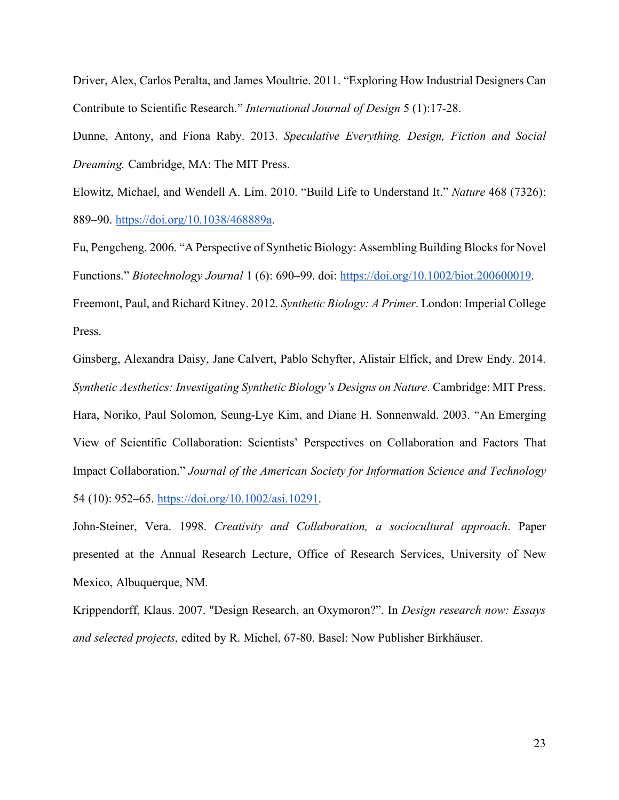Driver, Alex, Carlos Peralta, and James Moultrie. 2011. "Exploring How Industrial Designers Can Contribute to Scientific Research." *International Journal of Design* 5 (1):17-28.

Dunne, Antony, and Fiona Raby. 2013. *Speculative Everything. Design, Fiction and Social Dreaming.* Cambridge, MA: The MIT Press.

Elowitz, Michael, and Wendell A. Lim. 2010. "Build Life to Understand It." *Nature* 468 (7326): 889–90. https://doi.org/10.1038/468889a.

Fu, Pengcheng. 2006. "A Perspective of Synthetic Biology: Assembling Building Blocksfor Novel Functions." *Biotechnology Journal* 1 (6): 690–99. doi: https://doi.org/10.1002/biot.200600019. Freemont, Paul, and Richard Kitney. 2012. *Synthetic Biology: A Primer*. London: Imperial College

Press.

Ginsberg, Alexandra Daisy, Jane Calvert, Pablo Schyfter, Alistair Elfick, and Drew Endy. 2014. *Synthetic Aesthetics: Investigating Synthetic Biology's Designs on Nature*. Cambridge: MIT Press. Hara, Noriko, Paul Solomon, Seung-Lye Kim, and Diane H. Sonnenwald. 2003. "An Emerging View of Scientific Collaboration: Scientists' Perspectives on Collaboration and Factors That Impact Collaboration." *Journal of the American Society for Information Science and Technology* 54 (10): 952–65. https://doi.org/10.1002/asi.10291.

John-Steiner, Vera. 1998. *Creativity and Collaboration, a sociocultural approach*. Paper presented at the Annual Research Lecture, Office of Research Services, University of New Mexico, Albuquerque, NM.

Krippendorff, Klaus. 2007. "Design Research, an Oxymoron?". In *Design research now: Essays and selected projects*, edited by R. Michel, 67-80. Basel: Now Publisher Birkhäuser.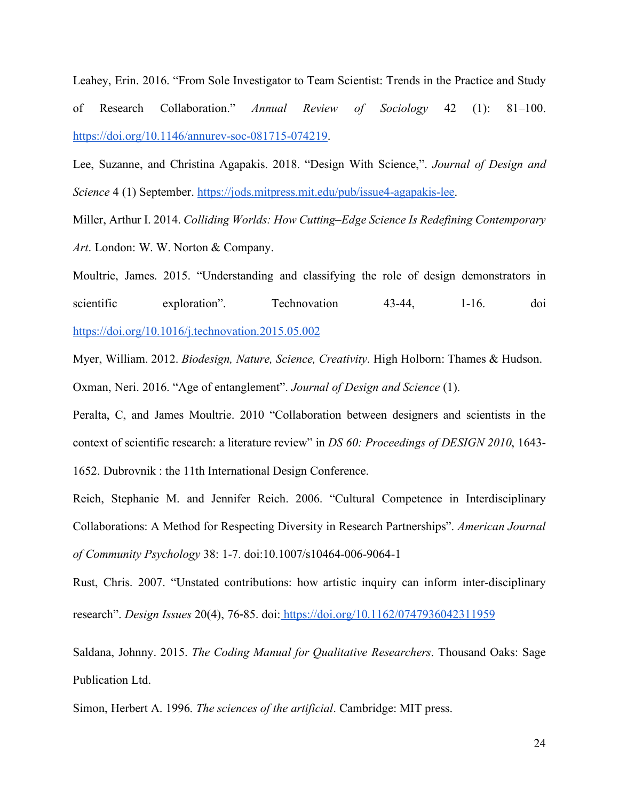Leahey, Erin. 2016. "From Sole Investigator to Team Scientist: Trends in the Practice and Study of Research Collaboration." *Annual Review of Sociology* 42 (1): 81–100. https://doi.org/10.1146/annurev-soc-081715-074219.

Lee, Suzanne, and Christina Agapakis. 2018. "Design With Science,". *Journal of Design and Science* 4 (1) September. https://jods.mitpress.mit.edu/pub/issue4-agapakis-lee.

Miller, Arthur I. 2014. *Colliding Worlds: How Cutting–Edge Science Is Redefining Contemporary Art*. London: W. W. Norton & Company.

Moultrie, James. 2015. "Understanding and classifying the role of design demonstrators in scientific exploration". Technovation 43-44, 1-16. doi https://doi.org/10.1016/j.technovation.2015.05.002

Myer, William. 2012. *Biodesign, Nature, Science, Creativity*. High Holborn: Thames & Hudson. Oxman, Neri. 2016. "Age of entanglement". *Journal of Design and Science* (1).

Peralta, C, and James Moultrie. 2010 "Collaboration between designers and scientists in the context of scientific research: a literature review" in *DS 60: Proceedings of DESIGN 2010*, 1643- 1652. Dubrovnik : the 11th International Design Conference.

Reich, Stephanie M. and Jennifer Reich. 2006. "Cultural Competence in Interdisciplinary Collaborations: A Method for Respecting Diversity in Research Partnerships". *American Journal of Community Psychology* 38: 1-7. doi:10.1007/s10464-006-9064-1

Rust, Chris. 2007. "Unstated contributions: how artistic inquiry can inform inter-disciplinary research". *Design Issues* 20(4), 76‑85. doi: https://doi.org/10.1162/0747936042311959

Saldana, Johnny. 2015. *The Coding Manual for Qualitative Researchers*. Thousand Oaks: Sage Publication Ltd.

Simon, Herbert A. 1996. *The sciences of the artificial*. Cambridge: MIT press.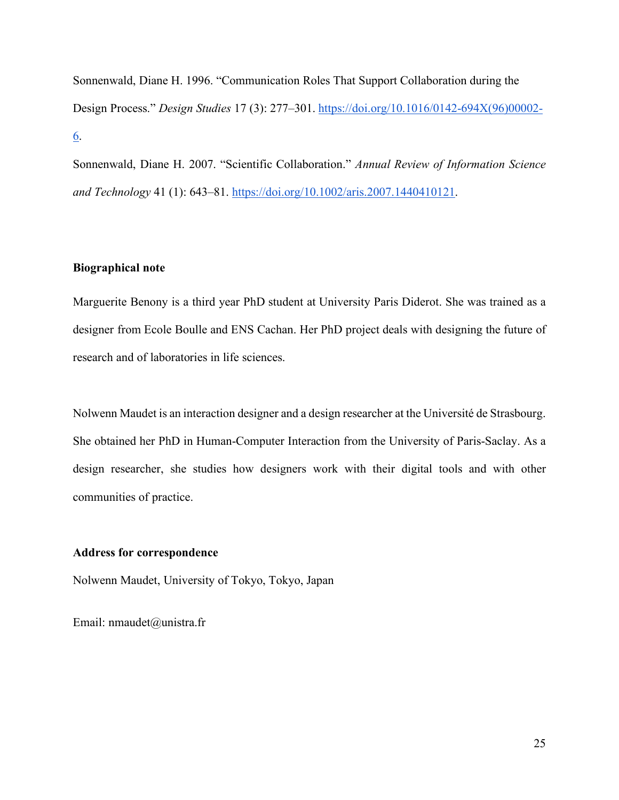Sonnenwald, Diane H. 1996. "Communication Roles That Support Collaboration during the Design Process." *Design Studies* 17 (3): 277–301. https://doi.org/10.1016/0142-694X(96)00002- 6.

Sonnenwald, Diane H. 2007. "Scientific Collaboration." *Annual Review of Information Science and Technology* 41 (1): 643–81. https://doi.org/10.1002/aris.2007.1440410121.

#### **Biographical note**

Marguerite Benony is a third year PhD student at University Paris Diderot. She was trained as a designer from Ecole Boulle and ENS Cachan. Her PhD project deals with designing the future of research and of laboratories in life sciences.

Nolwenn Maudet is an interaction designer and a design researcher at the Université de Strasbourg. She obtained her PhD in Human-Computer Interaction from the University of Paris-Saclay. As a design researcher, she studies how designers work with their digital tools and with other communities of practice.

#### **Address for correspondence**

Nolwenn Maudet, University of Tokyo, Tokyo, Japan

Email: nmaudet@unistra.fr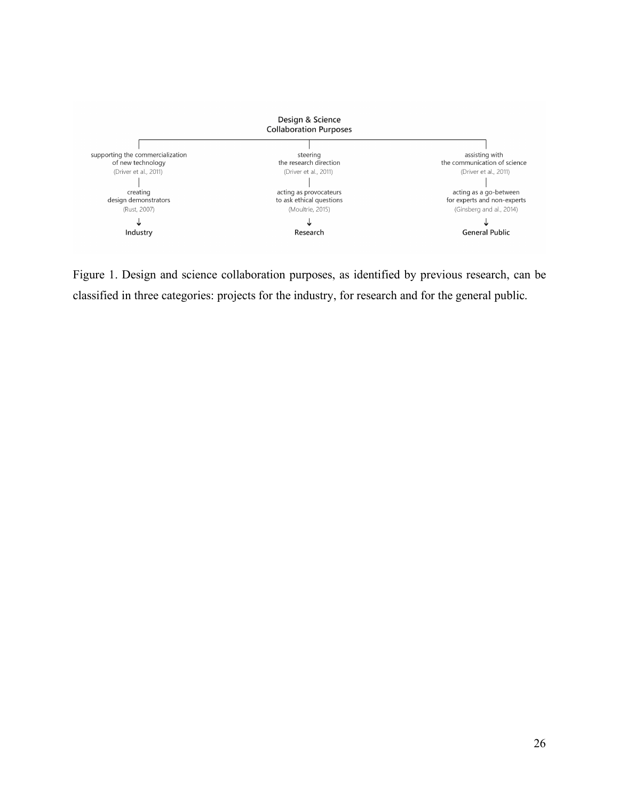

Figure 1. Design and science collaboration purposes, as identified by previous research, can be classified in three categories: projects for the industry, for research and for the general public.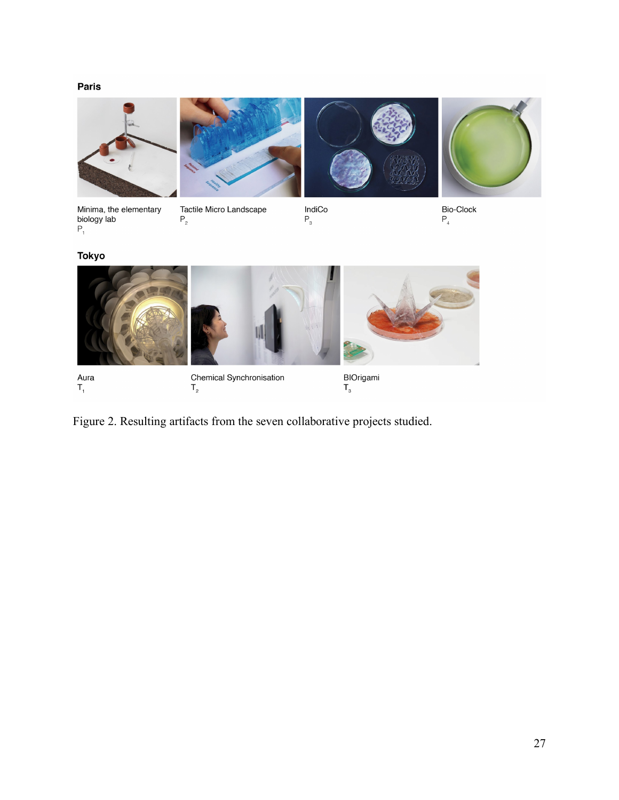#### Paris



Aura<br>T<sub>1</sub>

Chemical Synchronisation  $\mathsf{T}_{\mathsf{2}}$ 

BIOrigami<br>T<sub>3</sub>

Figure 2. Resulting artifacts from the seven collaborative projects studied.